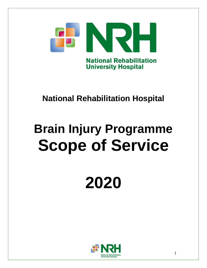

# **National Rehabilitation Hospital**

# **Brain Injury Programme Scope of Service**

# **2020**

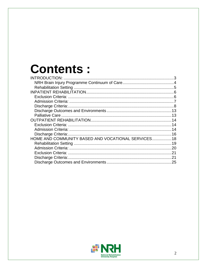# **Contents:**

| HOME AND COMMUNITY BASED AND VOCATIONAL SERVICES 18 |  |
|-----------------------------------------------------|--|
|                                                     |  |
|                                                     |  |
|                                                     |  |
|                                                     |  |
|                                                     |  |

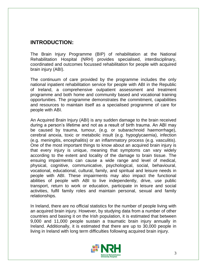# <span id="page-2-0"></span>**INTRODUCTION:**

The Brain Injury Programme (BIP) of rehabilitation at the National Rehabilitation Hospital (NRH) provides specialised, interdisciplinary, coordinated and outcomes focussed rehabilitation for people with acquired brain injury (ABI).

The continuum of care provided by the programme includes the only national inpatient rehabilitation service for people with ABI in the Republic of Ireland, a comprehensive outpatient assessment and treatment programme and both home and community based and vocational training opportunities. The programme demonstrates the commitment, capabilities and resources to maintain itself as a specialised programme of care for people with ABI.

An Acquired Brain Injury (ABI) is any sudden damage to the brain received during a person's lifetime and not as a result of birth trauma. An ABI may be caused by trauma, tumour, (e.g. or subarachnoid haemorrhage), cerebral anoxia, toxic or metabolic insult (e.g. hypoglycaemia), infection (e.g. meningitis, encephalitis) or an inflammatory process (e.g. vasculitis). One of the most important things to know about an acquired brain injury is that every injury is unique, meaning that symptoms can vary widely according to the extent and locality of the damage to brain tissue. The ensuing impairments can cause a wide range and level of medical, physical, cognitive, communicative, psychological, social, behavioural, vocational, educational, cultural, family, and spiritual and leisure needs in people with ABI. These impairments may also impact the functional abilities of people with ABI to live independently, drive, use public transport, return to work or education, participate in leisure and social activities, fulfil family roles and maintain personal, sexual and family relationships.

In Ireland, there are no official statistics for the number of people living with an acquired brain injury. However, by studying data from a number of other countries and basing it on the Irish population, it is estimated that between 9,000 and 11,000 people sustain a traumatic brain injury annually in Ireland. Additionally, it is estimated that there are up to 30,000 people in living in Ireland with long term difficulties following acquired brain injury.

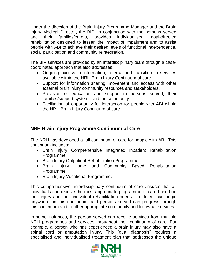Under the direction of the Brain Injury Programme Manager and the Brain Injury Medical Director, the BIP, in conjunction with the persons served and their families/carers, provides individualised, goal-directed rehabilitation designed to lessen the impact of impairment and to assist people with ABI to achieve their desired levels of functional independence, social participation and community reintegration.

The BIP services are provided by an interdisciplinary team through a casecoordinated approach that also addresses:

- Ongoing access to information, referral and transition to services available within the NRH Brain Injury Continuum of care.
- Support for information sharing, movement and access with other external brain injury community resources and stakeholders.
- Provision of education and support to persons served, their families/support systems and the community.
- Facilitation of opportunity for interaction for people with ABI within the NRH Brain Injury Continuum of care.

## <span id="page-3-0"></span>**NRH Brain Injury Programme Continuum of Care**

The NRH has developed a full continuum of care for people with ABI. This continuum includes:

- Brain Injury Comprehensive Integrated Inpatient Rehabilitation Programme.
- Brain Injury Outpatient Rehabilitation Programme.
- Brain Injury Home and Community Based Rehabilitation Programme.
- Brain Injury Vocational Programme.

This comprehensive, interdisciplinary continuum of care ensures that all individuals can receive the most appropriate programme of care based on their injury and their individual rehabilitation needs. Treatment can begin anywhere on this continuum, and persons served can progress through this continuum and to other appropriate community and follow-up services.

In some instances, the person served can receive services from multiple NRH programmes and services throughout their continuum of care. For example, a person who has experienced a brain injury may also have a spinal cord or amputation injury. This "dual diagnosis" requires a specialised and individualised treatment plan that addresses the unique

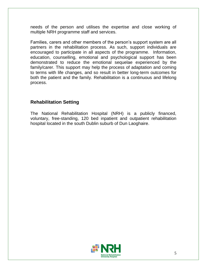needs of the person and utilises the expertise and close working of multiple NRH programme staff and services.

Families, carers and other members of the person's support system are all partners in the rehabilitation process. As such, support individuals are encouraged to participate in all aspects of the programme. Information, education, counselling, emotional and psychological support has been demonstrated to reduce the emotional sequelae experienced by the family/carer. This support may help the process of adaptation and coming to terms with life changes, and so result in better long-term outcomes for both the patient and the family. Rehabilitation is a continuous and lifelong process.

#### <span id="page-4-0"></span>**Rehabilitation Setting**

The National Rehabilitation Hospital (NRH) is a publicly financed, voluntary, free-standing, 120 bed inpatient and outpatient rehabilitation hospital located in the south Dublin suburb of Dun Laoghaire.

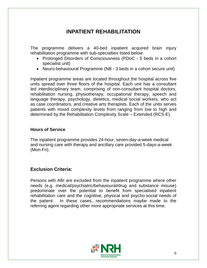# **INPATIENT REHABILITATION**

<span id="page-5-0"></span>The programme delivers a 40-bed inpatient acquired brain injury rehabilitation programme with sub-specialties listed below:

- Prolonged Disorders of Consciousness (PDoC 5 beds in a cohort specialist unit)
- Neuro-behavioural Programme (NB 3 beds in a cohort secure unit)

Inpatient programme areas are located throughout the hospital across five units spread over three floors of the hospital. Each unit has a consultant led interdisciplinary team, comprising of non-consultant hospital doctors, rehabilitation nursing, physiotherapy, occupational therapy, speech and language therapy, psychology, dietetics, medical social workers, who act as case coordinators, and creative arts therapists. Each of the units serves patients with mixed complexity levels from ranging from low to high and determined by the Rehabilitation Complexity Scale – Extended (RCS-E).

#### **Hours of Service**

The inpatient programme provides 24-hour, seven-day-a-week medical and nursing care with therapy and ancillary care provided 5-days-a-week (Mon-Fri).

#### <span id="page-5-1"></span>**Exclusion Criteria:**

Persons with ABI are excluded from the inpatient programme where other needs (e.g. medical/psychiatric/behavioural/drug and substance misuse) predominate over the potential to benefit from specialised inpatient rehabilitation care and the cognitive, physical and psycho-social needs of the patient. In these cases, recommendations maybe made to the referring agent regarding other more appropriate services at this time.

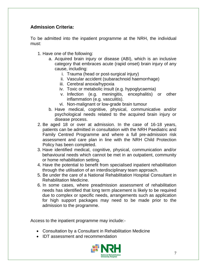## <span id="page-6-0"></span>**Admission Criteria:**

To be admitted into the inpatient programme at the NRH, the individual must:

- 1. Have one of the following:
	- a. Acquired brain injury or disease (ABI), which is an inclusive category that embraces acute (rapid onset) brain injury of any cause, including:
		- i. Trauma (head or post-surgical injury)
		- ii. Vascular accident (subarachnoid haemorrhage)
		- iii. Cerebral anoxia/hypoxia
		- iv. Toxic or metabolic insult (e.g. hypoglycaemia)
		- v. Infection (e.g. meningitis, encephalitis) or other inflammation (e.g. vasculitis).
		- vi. Non-malignant or low-grade brain tumour
	- b. Have medical, cognitive, physical, communicative and/or psychological needs related to the acquired brain injury or disease process.
- 2. Be aged 18 or over at admission. In the case of 16-18 years, patients can be admitted in consultation with the NRH Paediatric and Family Centred Programme and where a full pre-admission risk assessment and care plan in line with the NRH Child Protection Policy has been completed.
- 3. Have identified medical, cognitive, physical, communication and/or behavioural needs which cannot be met in an outpatient, community or home rehabilitation setting.
- 4. Have the potential to benefit from specialised inpatient rehabilitation through the utilisation of an interdisciplinary team approach.
- 5. Be under the care of a National Rehabilitation Hospital Consultant in Rehabilitation Medicine.
- 6. In some cases, where preadmission assessment of rehabilitation needs has identified that long term placement is likely to be required due to complex or specific needs, arrangements such as application for high support packages may need to be made prior to the admission to the programme.

Access to the inpatient programme may include:-

- Consultation by a Consultant in Rehabilitation Medicine
- IDT assessment and recommendation

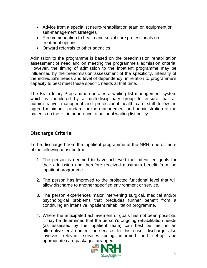- Advice from a specialist neuro-rehabilitation team on equipment or self-management strategies
- Recommendation to health and social care professionals on treatment options
- Onward referrals to other agencies

Admission to the programme is based on the preadmission rehabilitation assessment of need and on meeting the programme's admission criteria. However, the timing of admission to the inpatient programme may be influenced by the preadmission assessment of the specificity, intensity of the individual's needs and level of dependency, in relation to programme's capacity to best meet these specific needs at that time.

The Brain Injury Programme operates a waiting list management system which is monitored by a multi-disciplinary group to ensure that all administrative, managerial and professional health care staff follow an agreed minimum standard for the management and administration of the patients on the list in adherence to national waiting list policy.

#### <span id="page-7-0"></span>**Discharge Criteria:**

To be discharged from the inpatient programme at the NRH, one or more of the following must be true:

- 1. The person is deemed to have achieved their identified goals for their admission and therefore received maximum benefit from the inpatient programme.
- 2. The person has improved to the projected functional level that will allow discharge to another specified environment or service.
- 3. The person experiences major intervening surgical, medical and/or psychological problems that precludes further benefit from a continuing an intensive inpatient rehabilitation programme.
- 4. Where the anticipated achievement of goals has not been possible, it may be determined that the person's ongoing rehabilitation needs (as assessed by the inpatient team) can best be met in an alternative environment or service. In this case, discharge also involves relevant services being informed and set-up and appropriate care packages arranged.

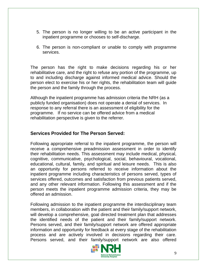- 5. The person is no longer willing to be an active participant in the inpatient programme or chooses to self-discharge.
- 6. The person is non-compliant or unable to comply with programme services.

The person has the right to make decisions regarding his or her rehabilitative care, and the right to refuse any portion of the programme, up to and including discharge against informed medical advice. Should the person elect to exercise his or her rights, the rehabilitation team will guide the person and the family through the process.

Although the inpatient programme has admission criteria the NRH (as a publicly funded organisation) does not operate a denial of services. In response to any referral there is an assessment of eligibility for the programme. If no service can be offered advice from a medical rehabilitation perspective is given to the referrer.

#### **Services Provided for The Person Served:**

Following appropriate referral to the inpatient programme, the person will receive a comprehensive preadmission assessment in order to identify their rehabilitation needs. This assessment may include medical, physical, cognitive, communicative, psychological, social, behavioural, vocational, educational, cultural, family, and spiritual and leisure needs. This is also an opportunity for persons referred to receive information about the inpatient programme including characteristics of persons served, types of services offered, outcomes and satisfaction from previous patients served, and any other relevant information. Following this assessment and if the person meets the inpatient programme admission criteria, they may be offered an admission.

Following admission to the inpatient programme the interdisciplinary team members, in collaboration with the patient and their family/support network, will develop a comprehensive, goal directed treatment plan that addresses the identified needs of the patient and their family/support network. Persons served, and their family/support network are offered appropriate information and opportunity for feedback at every stage of the rehabilitation process and are actively involved in decisions regarding their care. Persons served, and their family/support network are also offered

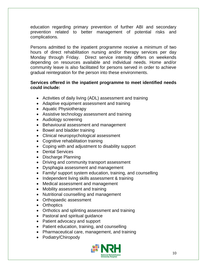education regarding primary prevention of further ABI and secondary prevention related to better management of potential risks and complications.

Persons admitted to the inpatient programme receive a minimum of two hours of direct rehabilitation nursing and/or therapy services per day Monday through Friday. Direct service intensity differs on weekends depending on resources available and individual needs. Home and/or community leave is also facilitated for persons served in order to achieve gradual reintegration for the person into these environments.

#### **Services offered in the inpatient programme to meet identified needs could include:**

- Activities of daily living (ADL) assessment and training
- Adaptive equipment assessment and training
- Aquatic Physiotherapy
- Assistive technology assessment and training
- Audiology screening
- Behavioural assessment and management
- Bowel and bladder training
- Clinical neuropsychological assessment
- Cognitive rehabilitation training
- Coping with and adjustment to disability support
- Dental Services
- Discharge Planning
- Driving and community transport assessment
- Dysphagia assessment and management
- Family/ support system education, training, and counselling
- Independent living skills assessment & training
- Medical assessment and management
- Mobility assessment and training
- Nutritional counselling and management
- Orthopaedic assessment
- Orthoptics
- Orthotics and splinting assessment and training
- Pastoral and spiritual guidance
- Patient advocacy and support
- Patient education, training, and counselling
- Pharmaceutical care, management, and training
- Podiatry/Chiropody

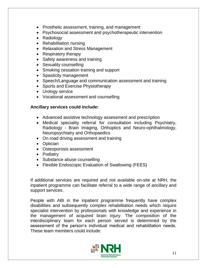- Prosthetic assessment, training, and management
- Psychosocial assessment and psychotherapeutic intervention
- Radiology
- Rehabilitation nursing
- Relaxation and Stress Management
- Respiratory therapy
- Safety awareness and training
- Sexuality counselling
- Smoking cessation training and support
- Spasticity management
- Speech/Language and communication assessment and training
- Sports and Exercise Physiotherapy
- Urology service
- Vocational assessment and counselling

#### **Ancillary services could include:**

- Advanced assistive technology assessment and prescription
- Medical speciality referral for consultation including Psychiatry, Radiology - Brain Imaging, Orthoptics and Neuro-ophthalmology, Neuropsychiatry and Orthopaedics
- On road driving assessment and training
- Optician
- Osteoporosis assessment
- Podiatry
- Substance abuse counselling
- Flexible Endoscopic Evaluation of Swallowing (FEES)

If additional services are required and not available on-site at NRH, the inpatient programme can facilitate referral to a wide range of ancillary and support services.

People with ABI in the inpatient programme frequently have complex disabilities and subsequently complex rehabilitation needs which require specialist intervention by professionals with knowledge and experience in the management of acquired brain injury. The composition of the interdisciplinary team for each person served is determined by the assessment of the person's individual medical and rehabilitation needs. These team members could include:

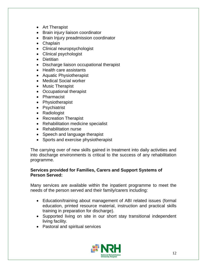- Art Therapist
- Brain injury liaison coordinator
- Brain Injury preadmission coordinator
- Chaplain
- Clinical neuropsychologist
- Clinical psychologist
- Dietitian
- Discharge liaison occupational therapist
- Health care assistants
- Aquatic Physiotherapist
- Medical Social worker
- Music Therapist
- Occupational therapist
- Pharmacist
- Physiotherapist
- Psychiatrist
- Radiologist
- Recreation Therapist
- Rehabilitation medicine specialist
- Rehabilitation nurse
- Speech and language therapist
- Sports and exercise physiotherapist

The carrying over of new skills gained in treatment into daily activities and into discharge environments is critical to the success of any rehabilitation programme.

#### **Services provided for Families, Carers and Support Systems of Person Served:**

Many services are available within the inpatient programme to meet the needs of the person served and their family/carers including:

- Education/training about management of ABI related issues (formal education, printed resource material, instruction and practical skills training in preparation for discharge).
- Supported living on site in our short stay transitional independent living facility.
- Pastoral and spiritual services

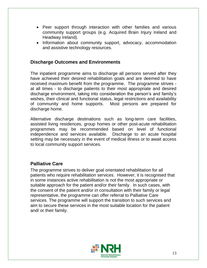- Peer support through interaction with other families and various community support groups (e.g. Acquired Brain Injury Ireland and Headway Ireland).
- Information about community support, advocacy, accommodation and assistive technology resources.

#### <span id="page-12-0"></span>**Discharge Outcomes and Environments**

The inpatient programme aims to discharge all persons served after they have achieved their desired rehabilitation goals and are deemed to have received maximum benefit from the programme. The programme strives at all times - to discharge patients to their most appropriate and desired discharge environment, taking into consideration the person's and family's wishes, their clinical and functional status, legal restrictions and availability of community and home supports. Most persons are prepared for discharge home.

Alternative discharge destinations such as long-term care facilities, assisted living residences, group homes or other post-acute rehabilitation programmes may be recommended based on level of functional independence and services available. Discharge to an acute hospital setting may be necessary in the event of medical illness or to await access to local community support services.

#### <span id="page-12-1"></span>**Palliative Care**

The programme strives to deliver goal orientated rehabilitation for all patients who require rehabilitation services. However, it is recognised that in some instances active rehabilitation is not the most appropriate or suitable approach for the patient and/or their family. In such cases, with the consent of the patient and/or in consultation with their family or legal representative, the programme can offer referral to Palliative Care services. The programme will support the transition to such services and aim to secure these services in the most suitable location for the patient and/ or their family.

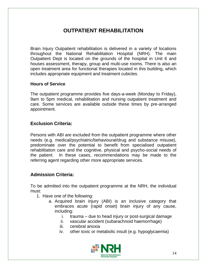# **OUTPATIENT REHABILITATION**

<span id="page-13-0"></span>Brain Injury Outpatient rehabilitation is delivered in a variety of locations throughout the National Rehabilitation Hospital (NRH). The main Outpatient Dept is located on the grounds of the hospital in Unit 6 and houses assessment, therapy, group and multi-use rooms. There is also an open treatment area for functional therapies located in this building, which includes appropriate equipment and treatment cubicles.

#### **Hours of Service**

The outpatient programme provides five days-a-week (Monday to Friday), 9am to 5pm medical, rehabilitation and nursing outpatient treatment and care. Some services are available outside these times by pre-arranged appointment.

#### <span id="page-13-1"></span>**Exclusion Criteria:**

Persons with ABI are excluded from the outpatient programme where other needs (e.g. medical/psychiatric/behavioural/drug and substance misuse), predominate over the potential to benefit from specialised outpatient rehabilitation care and the cognitive, physical and psycho-social needs of the patient. In these cases, recommendations may be made to the referring agent regarding other more appropriate services.

#### <span id="page-13-2"></span>**Admission Criteria:**

To be admitted into the outpatient programme at the NRH, the individual must:

- 1. Have one of the following:
	- a. Acquired brain injury (ABI) is an inclusive category that embraces acute (rapid onset) brain injury of any cause, including:
		- i. trauma due to head injury or post-surgical damage
		- ii. vascular accident (subarachnoid haemorrhage)
		- iii. cerebral anoxia
		- iv. other toxic or metabolic insult (e.g. hypoglycaemia)

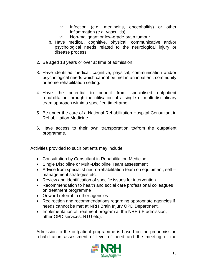- v. Infection (e.g. meningitis, encephalitis) or other inflammation (e.g. vasculitis).
- vi. Non-malignant or low-grade brain tumour
- b. Have medical, cognitive, physical, communicative and/or psychological needs related to the neurological injury or disease process
- 2. Be aged 18 years or over at time of admission.
- 3. Have identified medical, cognitive, physical, communication and/or psychological needs which cannot be met in an inpatient, community or home rehabilitation setting.
- 4. Have the potential to benefit from specialised outpatient rehabilitation through the utilisation of a single or multi-disciplinary team approach within a specified timeframe.
- 5. Be under the care of a National Rehabilitation Hospital Consultant in Rehabilitation Medicine.
- 6. Have access to their own transportation to/from the outpatient programme.

Activities provided to such patients may include:

- Consultation by Consultant in Rehabilitation Medicine
- Single Discipline or Multi-Discipline Team assessment
- Advice from specialist neuro-rehabilitation team on equipment, self management strategies etc.
- Review and identification of specific issues for intervention
- Recommendation to health and social care professional colleagues on treatment programme
- Onward referral to other agencies
- Redirection and recommendations regarding appropriate agencies if needs cannot be met at NRH Brain Injury OPD Department.
- Implementation of treatment program at the NRH (IP admission, other OPD services, RTU etc).

Admission to the outpatient programme is based on the preadmission rehabilitation assessment of level of need and the meeting of the

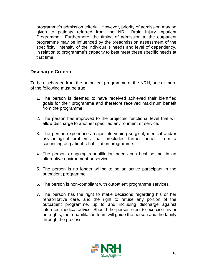programme's admission criteria. However, priority of admission may be given to patients referred from the NRH Brain Injury Inpatient Programme. Furthermore, the timing of admission to the outpatient programme may be influenced by the preadmission assessment of the specificity, intensity of the individual's needs and level of dependency, in relation to programme's capacity to best meet these specific needs at that time.

#### <span id="page-15-0"></span>**Discharge Criteria:**

To be discharged from the outpatient programme at the NRH, one or more of the following must be true:

- 1. The person is deemed to have received achieved their identified goals for their programme and therefore received maximum benefit from the programme.
- 2. The person has improved to the projected functional level that will allow discharge to another specified environment or service.
- 3. The person experiences major intervening surgical, medical and/or psychological problems that precludes further benefit from a continuing outpatient rehabilitation programme.
- 4. The person's ongoing rehabilitation needs can best be met in an alternative environment or service.
- 5. The person is no longer willing to be an active participant in the outpatient programme.
- 6. The person is non-compliant with outpatient programme services.
- 7. The person has the right to make decisions regarding his or her rehabilitative care, and the right to refuse any portion of the outpatient programme, up to and including discharge against informed medical advice. Should the person elect to exercise his or her rights, the rehabilitation team will guide the person and the family through the process.

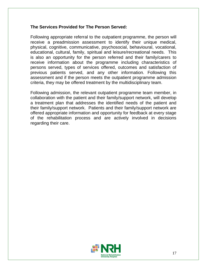#### **The Services Provided for The Person Served:**

Following appropriate referral to the outpatient programme, the person will receive a preadmission assessment to identify their unique medical, physical, cognitive, communicative, psychosocial, behavioural, vocational, educational, cultural, family, spiritual and leisure/recreational needs. This is also an opportunity for the person referred and their family/carers to receive information about the programme including characteristics of persons served, types of services offered, outcomes and satisfaction of previous patients served, and any other information. Following this assessment and if the person meets the outpatient programme admission criteria, they may be offered treatment by the multidisciplinary team.

Following admission, the relevant outpatient programme team member, in collaboration with the patient and their family/support network, will develop a treatment plan that addresses the identified needs of the patient and their family/support network. Patients and their family/support network are offered appropriate information and opportunity for feedback at every stage of the rehabilitation process and are actively involved in decisions regarding their care.

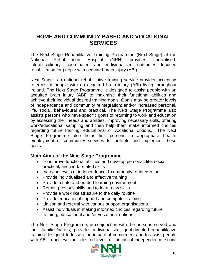# <span id="page-17-0"></span>**HOME AND COMMUNITY BASED AND VOCATIONAL SERVICES**

The Next Stage Rehabilitative Training Programme (Next Stage) at the National Rehabilitation Hospital (NRH) provides specialised, interdisciplinary, coordinated and individualised outcomes focused rehabilitation for people with acquired brain injury (ABI).

Next Stage is a national rehabilitative training service provider accepting referrals of people with an acquired brain injury (ABI) living throughout Ireland. The Next Stage Programme is designed to assist people with an acquired brain injury (ABI) to maximise their functional abilities and achieve their individual desired training goals. Goals may be greater levels of independence and community reintegration; and/or increased personal, life, social, behavioural and practical. The Next Stage Programme also assists persons who have specific goals of returning to work and education by assessing their needs and abilities, improving necessary skills, offering work/educational sampling and then help them make informed choices regarding future training, educational or vocational options. The Next Stage Programme also helps link persons to appropriate health, employment or community services to facilitate and implement these goals.

#### **Main Aims of the Next Stage Programme**

- To improve functional abilities and develop personal, life, social, practical, and work-related skills
- Increase levels of independence & community re-integration
- Provide individualised and effective training
- Provide a safe and graded learning environment
- Retrain previous skills and to learn new skills
- Provide a work like structure to the daily routine
- Provide educational support and computer training
- Liaison and referral with various support organisations
- Assist individuals in making informed choices regarding future training, educational and /or vocational options

The Next Stage Programme, in conjunction with the persons served and their families/carers, provides individualised, goal-directed rehabilitative training designed to lessen the impact of impairment and to assist people with ABI to achieve their desired levels of functional independence, social

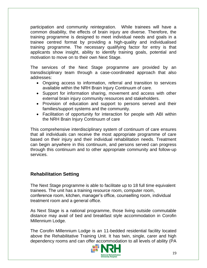participation and community reintegration. While trainees will have a common disability, the effects of brain injury are diverse. Therefore, the training programme is designed to meet individual needs and goals in a trainee centred format by providing a high-quality and individualised training programme. The necessary qualifying factor for entry is that applicants show insight, ability to identify training goals, potential and motivation to move on to their own Next Stage.

The services of the Next Stage programme are provided by an transdisciplinary team through a case-coordinated approach that also addresses:

- Ongoing access to information, referral and transition to services available within the NRH Brain Injury Continuum of care.
- Support for information sharing, movement and access with other external brain injury community resources and stakeholders.
- Provision of education and support to persons served and their families/support systems and the community.
- Facilitation of opportunity for interaction for people with ABI within the NRH Brain Injury Continuum of care

This comprehensive interdisciplinary system of continuum of care ensures that all individuals can receive the most appropriate programme of care based on their injury and their individual rehabilitation needs. Treatment can begin anywhere in this continuum, and persons served can progress through this continuum and to other appropriate community and follow-up services.

### <span id="page-18-0"></span>**Rehabilitation Setting**

The Next Stage programme is able to facilitate up to 18 full time equivalent trainees. The unit has a training resource room, computer room, conference room, kitchen, manager's office, counselling room, individual treatment room and a general office.

As Next Stage is a national programme, those living outside commutable distance may avail of bed and breakfast style accommodation in Corofin Millennium Lodge.

The Corofin Millennium Lodge is an 11-bedded residential facility located above the Rehabilitative Training Unit. It has twin, single, carer and high dependency rooms and can offer accommodation to all levels of ability (PA

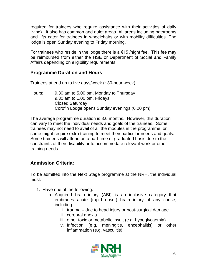required for trainees who require assistance with their activities of daily living). It also has common and quiet areas. All areas including bathrooms and lifts cater for trainees in wheelchairs or with mobility difficulties. The lodge is open Sunday evening to Friday morning.

For trainees who reside in the lodge there is a  $\epsilon$ 15 /night fee. This fee may be reimbursed from either the HSE or Department of Social and Family Affairs depending on eligibility requirements.

#### **Programme Duration and Hours**

Trainees attend up to five days/week (~30-hour week)

Hours: 9.30 am to 5.00 pm, Monday to Thursday 9.30 am to 1.00 pm, Fridays Closed Saturday Corofin Lodge opens Sunday evenings (6.00 pm)

The average programme duration is 8.6 months. However, this duration can vary to meet the individual needs and goals of the trainees. Some trainees may not need to avail of all the modules in the programme, or some might require extra training to meet their particular needs and goals. Some trainees will attend on a part-time or graduated basis due to the constraints of their disability or to accommodate relevant work or other training needs.

### <span id="page-19-0"></span>**Admission Criteria:**

To be admitted into the Next Stage programme at the NRH, the individual must:

- 1. Have one of the following:
	- a. Acquired brain injury (ABI) is an inclusive category that embraces acute (rapid onset) brain injury of any cause, including:
		- i. trauma due to head injury or post-surgical damage
		- ii. cerebral anoxia
		- iii. other toxic or metabolic insult (e.g. hypoglycaemia)
		- iv. Infection (e.g. meningitis, encephalitis) or other inflammation (e.g. vasculitis).

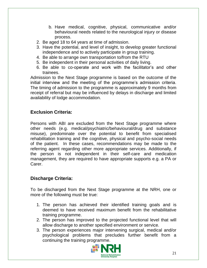- b. Have medical, cognitive, physical, communicative and/or behavioural needs related to the neurological injury or disease process.
- 2. Be aged 18 to 64 years at time of admission.
- 3. Have the potential, and level of insight, to develop greater functional independence and to actively participate in group training.
- 4. Be able to arrange own transportation to/from the RTU
- 5. Be independent in their personal activities of daily living.
- 6. Be able to co-operate and work with the facilitator's and other trainees.

Admission to the Next Stage programme is based on the outcome of the initial interview and the meeting of the programme's admission criteria. The timing of admission to the programme is approximately 9 months from receipt of referral but may be influenced by delays in discharge and limited availability of lodge accommodation.

# <span id="page-20-0"></span>**Exclusion Criteria:**

Persons with ABI are excluded from the Next Stage programme where other needs (e.g. medical/psychiatric/behavioural/drug and substance misuse), predominate over the potential to benefit from specialised rehabilitation training and the cognitive, physical and psycho-social needs of the patient. In these cases, recommendations may be made to the referring agent regarding other more appropriate services. Additionally, if the person is not independent in their self-care and medication management, they are required to have appropriate supports e.g. a PA or Carer.

# <span id="page-20-1"></span>**Discharge Criteria:**

To be discharged from the Next Stage programme at the NRH, one or more of the following must be true:

- 1. The person has achieved their identified training goals and is deemed to have received maximum benefit from the rehabilitative training programme.
- 2. The person has improved to the projected functional level that will allow discharge to another specified environment or service.
- 3. The person experiences major intervening surgical, medical and/or psychological problems that precludes further benefit from a continuing the training programme.

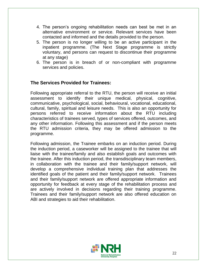- 4. The person's ongoing rehabilitation needs can best be met in an alternative environment or service. Relevant services have been contacted and informed and the details provided to the person.
- 5. The person is no longer willing to be an active participant in the inpatient programme. (The Next Stage programme is strictly voluntary, and persons can request to discontinue their programme at any stage)
- 6. The person is in breach of or non-compliant with programme services and policies.

#### **The Services Provided for Trainees:**

Following appropriate referral to the RTU, the person will receive an initial assessment to identify their unique medical, physical, cognitive, communicative, psychological, social, behavioural, vocational, educational, cultural, family, spiritual and leisure needs. This is also an opportunity for persons referred to receive information about the RTU including characteristics of trainees served, types of services offered, outcomes, and any other information. Following this assessment and if the person meets the RTU admission criteria, they may be offered admission to the programme.

Following admission, the Trainee embarks on an induction period. During the induction period, a caseworker will be assigned to the trainee that will liaise with the trainee/family and also establish goals and outcomes with the trainee. After this induction period, the transdisciplinary team members, in collaboration with the trainee and their family/support network, will develop a comprehensive individual training plan that addresses the identified goals of the patient and their family/support network. Trainees and their family/support network are offered appropriate information and opportunity for feedback at every stage of the rehabilitation process and are actively involved in decisions regarding their training programme. Trainees and their family/support network are also offered education on ABI and strategies to aid their rehabilitation.

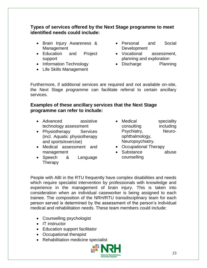#### **Types of services offered by the Next Stage programme to meet identified needs could include:**

- Brain Injury Awareness & Management
- Education and Project support
- Information Technology
- Life Skills Management
- Personal and Social Development
- Vocational assessment, planning and exploration
- Discharge Planning

Furthermore, if additional services are required and not available on-site, the Next Stage programme can facilitate referral to certain ancillary services.

#### **Examples of these ancillary services that the Next Stage programme can refer to include:**

- Advanced assistive technology assessment
- Physiotherapy Services (incl. Aquatic physiotherapy and sports/exercise)
- Medical assessment and management
- Speech & Language **Therapy**
- Medical speciality consulting including Psychiatry, Neuroophthalmology, Neuropsychiatry.
- Occupational Therapy
- Substance abuse counselling

People with ABI in the RTU frequently have complex disabilities and needs which require specialist intervention by professionals with knowledge and experience in the management of brain injury. This is taken into consideration when an individual caseworker is being assigned to each trainee. The composition of the NRH/RTU transdisciplinary team for each person served is determined by the assessment of the person's individual medical and rehabilitation needs. These team members could include:

- Counselling psychologist
- IT instructor
- Education support facilitator
- Occupational therapist
- Rehabilitation medicine specialist

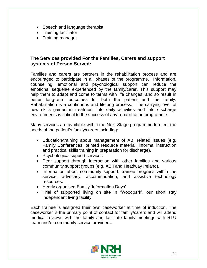- Speech and language therapist
- Training facilitator
- Training manager

#### **The Services provided For the Families, Carers and support systems of Person Served:**

Families and carers are partners in the rehabilitation process and are encouraged to participate in all phases of the programme. Information, counselling, emotional and psychological support can reduce the emotional sequelae experienced by the family/carer. This support may help them to adapt and come to terms with life changes, and so result in better long-term outcomes for both the patient and the family. Rehabilitation is a continuous and lifelong process. The carrying over of new skills gained in treatment into daily activities and into discharge environments is critical to the success of any rehabilitation programme.

Many services are available within the Next Stage programme to meet the needs of the patient's family/carers including:

- Education/training about management of ABI related issues (e.g. Family Conferences, printed resource material, informal instruction and practical skills training in preparation for discharge).
- Psychological support services
- Peer support through interaction with other families and various community support groups (e.g. ABII and Headway Ireland).
- Information about community support, trainee progress within the service, advocacy, accommodation, and assistive technology resources.
- Yearly organised Family 'Information Days'
- Trial of supported living on site in 'Woodpark', our short stay independent living facility

Each trainee is assigned their own caseworker at time of induction. The caseworker is the primary point of contact for family/carers and will attend medical reviews with the family and facilitate family meetings with RTU team and/or community service providers.